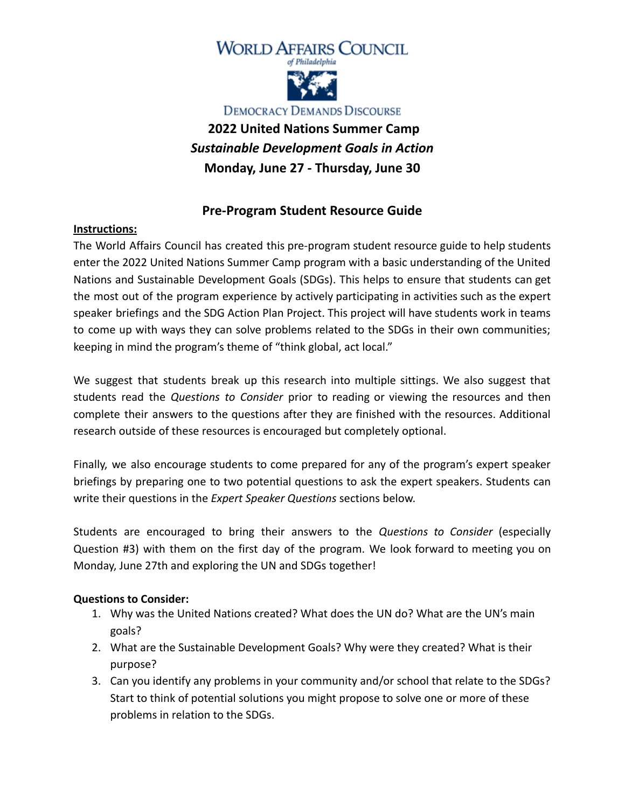



**DEMOCRACY DEMANDS DISCOURSE** 

# **2022 United Nations Summer Camp** *Sustainable Development Goals in Action* **Monday, June 27 - Thursday, June 30**

# **Pre-Program Student Resource Guide**

#### **Instructions:**

The World Affairs Council has created this pre-program student resource guide to help students enter the 2022 United Nations Summer Camp program with a basic understanding of the United Nations and Sustainable Development Goals (SDGs). This helps to ensure that students can get the most out of the program experience by actively participating in activities such as the expert speaker briefings and the SDG Action Plan Project. This project will have students work in teams to come up with ways they can solve problems related to the SDGs in their own communities; keeping in mind the program's theme of "think global, act local."

We suggest that students break up this research into multiple sittings. We also suggest that students read the *Questions to Consider* prior to reading or viewing the resources and then complete their answers to the questions after they are finished with the resources. Additional research outside of these resources is encouraged but completely optional.

Finally, we also encourage students to come prepared for any of the program's expert speaker briefings by preparing one to two potential questions to ask the expert speakers. Students can write their questions in the *Expert Speaker Questions* sections below.

Students are encouraged to bring their answers to the *Questions to Consider* (especially Question #3) with them on the first day of the program. We look forward to meeting you on Monday, June 27th and exploring the UN and SDGs together!

#### **Questions to Consider:**

- 1. Why was the United Nations created? What does the UN do? What are the UN's main goals?
- 2. What are the Sustainable Development Goals? Why were they created? What is their purpose?
- 3. Can you identify any problems in your community and/or school that relate to the SDGs? Start to think of potential solutions you might propose to solve one or more of these problems in relation to the SDGs.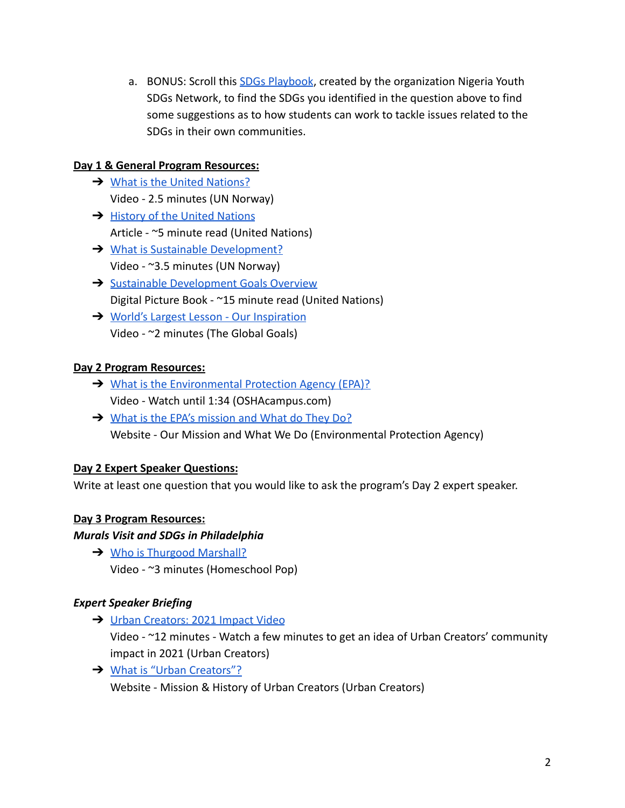a. BONUS: Scroll this [SDGs Playbook](https://www.un.org/sustainabledevelopment/wp-content/uploads/2021/08/NGYouthSDGs-Playbook.pdf), created by the organization Nigeria Youth SDGs Network, to find the SDGs you identified in the question above to find some suggestions as to how students can work to tackle issues related to the SDGs in their own communities.

### **Day 1 & General Program Resources:**

- **→ [What is the United Nations?](https://www.youtube.com/watch?v=E67ln5yJtyE)** Video - 2.5 minutes (UN Norway)
- **→ [History of the United Nations](https://www.un.org/un70/en/content/history/index.html)** Article - ~5 minute read (United Nations)
- **→ [What is Sustainable Development?](https://www.youtube.com/watch?v=7V8oFI4GYMY)** Video - ~3.5 minutes (UN Norway)
- **→ [Sustainable Development Goals Overview](https://issuu.com/unpublications/docs/sdg_yak_en)** Digital Picture Book - ~15 minute read (United Nations)
- **→** [World's Largest Lesson Our Inspiration](https://www.youtube.com/watch?v=lOCFpsWaSrs&t=54s) Video - ~2 minutes (The Global Goals)

# **Day 2 Program Resources:**

- ➔ [What is the Environmental Protection Agency \(EPA\)?](https://www.youtube.com/watch?v=0obuD-yqq80) Video - Watch until 1:34 (OSHAcampus.com)
- **→** [What is the EPA's mission and What do They Do?](https://www.epa.gov/aboutepa/our-mission-and-what-we-do) Website - Our Mission and What We Do (Environmental Protection Agency)

#### **Day 2 Expert Speaker Questions:**

Write at least one question that you would like to ask the program's Day 2 expert speaker.

#### **Day 3 Program Resources:**

#### *Murals Visit and SDGs in Philadelphia*

**→** [Who is Thurgood Marshall?](https://www.youtube.com/watch?v=pgP5tUNjyzQ) Video - ~3 minutes (Homeschool Pop)

#### *Expert Speaker Briefing*

→ [Urban Creators: 2021 Impact Video](https://www.youtube.com/watch?v=jia2c6-eweA)

Video - ~12 minutes - Watch a few minutes to get an idea of Urban Creators' community impact in 2021 (Urban Creators)

→ [What is "Urban Creators"?](https://urbancreators.org/mission-history/) Website - Mission & History of Urban Creators (Urban Creators)